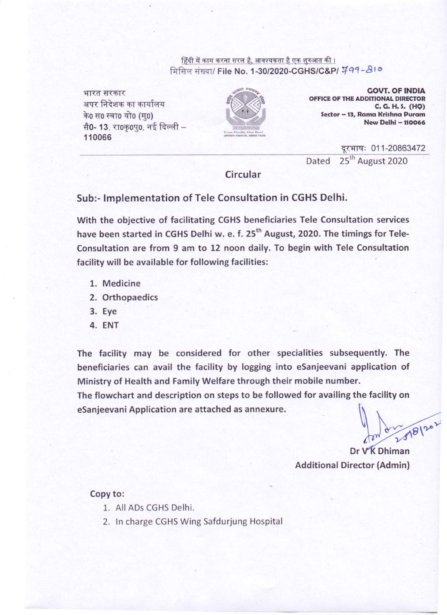हिंदी में काम करना सरल है, आवश्यकता है एक शुरुआत की । मिसिल संख्या/ File No. 1-30/2020-CGHS/C&P/ 799-810

भारत सरकार अपर निदेशक का कार्यालय के0 स0 स्वा0 यो0 (मु0) सै0- 13. रा0कृ0प0, नई दिल्ली -110066



**GOVT. OF INDIA** OFFICE OF THE ADDITIONAL DIRECTOR C. G. H. S. (HQ) Sector - 13, Rama Krishna Puram New Delhi - 110066

दूरभाषः 011-20863472 25<sup>th</sup> August 2020 Dated

Circular

#### Sub:- Implementation of Tele Consultation in CGHS Delhi.

With the objective of facilitating CGHS beneficiaries Tele Consultation services have been started in CGHS Delhi w. e. f. 25<sup>th</sup> August, 2020. The timings for Tele-Consultation are from 9 am to 12 noon daily. To begin with Tele Consultation facility will be available for following facilities:

- 1. Medicine
- 2. Orthopaedics
- 3. Eye
- 4. ENT

The facility may be considered for other specialities subsequently. The beneficiaries can avail the facility by logging into eSanjeevani application of Ministry of Health and Family Welfare through their mobile number.

The flowchart and description on steps to be followed for availing the facility on eSanjeevani Application are attached as annexure.

Dr VK Dhiman **Additional Director (Admin)** 

#### Copy to:

- 1. All ADs CGHS Delhi.
- 2. In charge CGHS Wing Safdurjung Hospital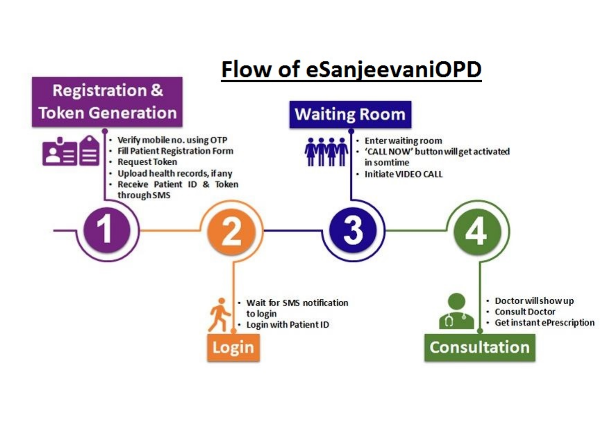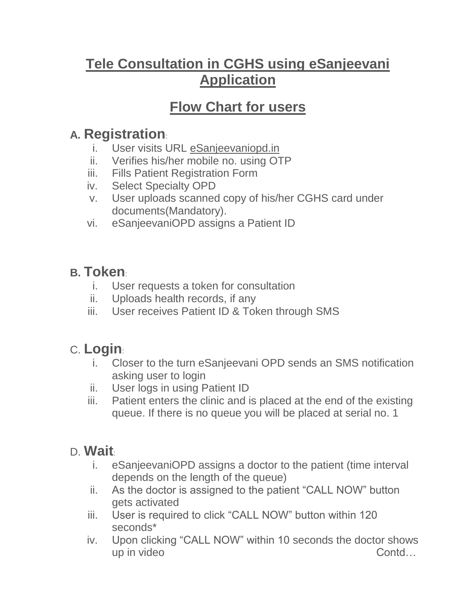# **Tele Consultation in CGHS using eSanjeevani Application**

# **Flow Chart for users**

### **A. Registration**:

- i. User visits URL eSanjeevaniopd.in
- ii. Verifies his/her mobile no. using OTP
- iii. Fills Patient Registration Form
- iv. Select Specialty OPD
- v. User uploads scanned copy of his/her CGHS card under documents(Mandatory).
- vi. eSanjeevaniOPD assigns a Patient ID

# **B. Token**:

- i. User requests a token for consultation
- ii. Uploads health records, if any
- iii. User receives Patient ID & Token through SMS

# C. **Login**:

- i. Closer to the turn eSanjeevani OPD sends an SMS notification asking user to login
- ii. User logs in using Patient ID
- iii. Patient enters the clinic and is placed at the end of the existing queue. If there is no queue you will be placed at serial no. 1

### D. **Wait**:

- i. eSanjeevaniOPD assigns a doctor to the patient (time interval depends on the length of the queue)
- ii. As the doctor is assigned to the patient "CALL NOW" button gets activated
- iii. User is required to click "CALL NOW" button within 120 seconds\*
- iv. Upon clicking "CALL NOW" within 10 seconds the doctor shows up in video Contd…